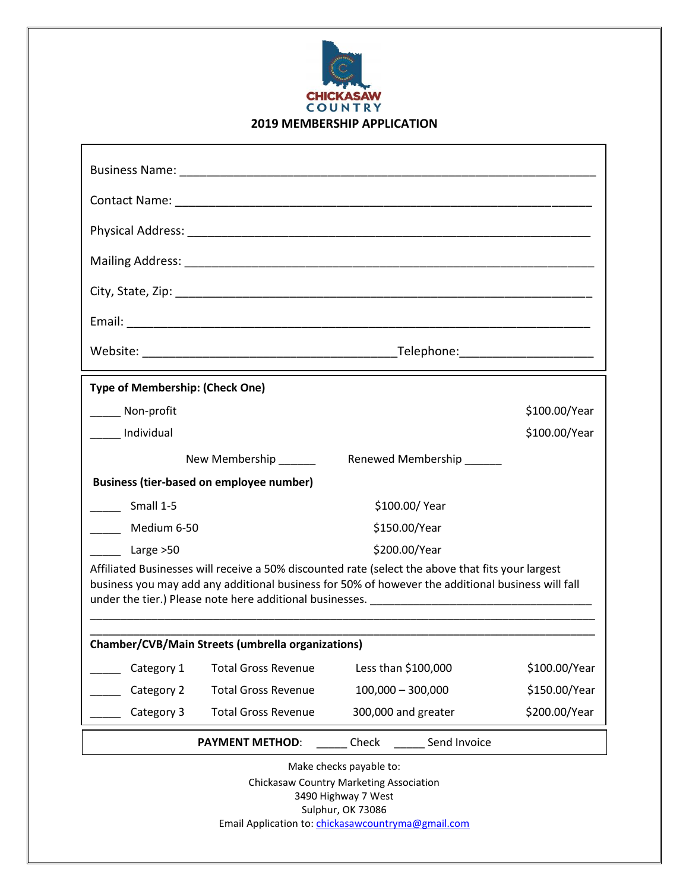

| <b>Type of Membership: (Check One)</b>                                                                                                                                                                 |                            |                           |               |
|--------------------------------------------------------------------------------------------------------------------------------------------------------------------------------------------------------|----------------------------|---------------------------|---------------|
| ______ Non-profit                                                                                                                                                                                      |                            |                           | \$100.00/Year |
| Individual                                                                                                                                                                                             |                            |                           | \$100.00/Year |
|                                                                                                                                                                                                        | New Membership             | Renewed Membership ______ |               |
| <b>Business (tier-based on employee number)</b>                                                                                                                                                        |                            |                           |               |
| Small 1-5                                                                                                                                                                                              |                            | \$100.00/Year             |               |
| Medium 6-50<br>$\mathbb{R}^n$                                                                                                                                                                          |                            | \$150.00/Year             |               |
| Large >50                                                                                                                                                                                              |                            | \$200.00/Year             |               |
| Affiliated Businesses will receive a 50% discounted rate (select the above that fits your largest<br>business you may add any additional business for 50% of however the additional business will fall |                            |                           |               |
| <b>Chamber/CVB/Main Streets (umbrella organizations)</b>                                                                                                                                               |                            |                           |               |
| Category 1                                                                                                                                                                                             | <b>Total Gross Revenue</b> | Less than \$100,000       | \$100.00/Year |
| Category 2                                                                                                                                                                                             | <b>Total Gross Revenue</b> | $100,000 - 300,000$       | \$150.00/Year |
| Category 3                                                                                                                                                                                             | <b>Total Gross Revenue</b> | 300,000 and greater       | \$200.00/Year |
| Send Invoice<br><b>PAYMENT METHOD:</b><br>Check                                                                                                                                                        |                            |                           |               |
| Make checks payable to:                                                                                                                                                                                |                            |                           |               |

Chickasaw Country Marketing Association 3490 Highway 7 West Sulphur, OK 73086 Email Application to: [chickasawcountryma@gmail.com](mailto:chickasawcountryma@gmail.com)